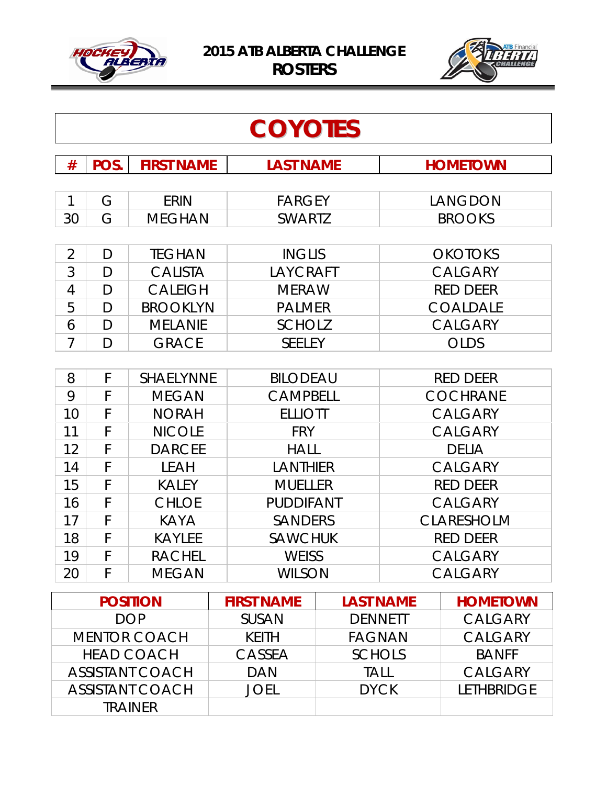



| <b>COYOTES</b>     |        |                              |                                |                  |             |                          |
|--------------------|--------|------------------------------|--------------------------------|------------------|-------------|--------------------------|
| #                  | POS.   | <b>FIRST NAME</b>            | <b>LAST NAME</b>               |                  |             | <b>HOMETOWN</b>          |
|                    |        |                              |                                |                  |             |                          |
| $\mathbf{1}$<br>30 | G<br>G | <b>ERIN</b><br><b>MEGHAN</b> | <b>FARGEY</b><br><b>SWARTZ</b> |                  |             | LANGDON<br><b>BROOKS</b> |
|                    |        |                              |                                |                  |             |                          |
| $\overline{2}$     | D      | <b>TEGHAN</b>                | <b>INGLIS</b>                  |                  |             | <b>OKOTOKS</b>           |
| 3                  | D      | <b>CALISTA</b>               | LAYCRAFT                       |                  |             | <b>CALGARY</b>           |
| 4                  | D      | <b>CALEIGH</b>               | <b>MERAW</b>                   |                  |             | <b>RED DEER</b>          |
| 5                  | D      | <b>BROOKLYN</b>              | <b>PALMER</b>                  |                  |             | <b>COALDALE</b>          |
| 6                  | D      | <b>MELANIE</b>               | <b>SCHOLZ</b>                  |                  |             | <b>CALGARY</b>           |
| $\overline{7}$     | D      | <b>GRACE</b>                 | <b>SEELEY</b>                  |                  |             | <b>OLDS</b>              |
|                    |        |                              |                                |                  |             |                          |
| 8                  | F      | <b>SHAELYNNE</b>             | <b>BILODEAU</b>                |                  |             | <b>RED DEER</b>          |
| 9                  | F      | <b>MEGAN</b>                 | <b>CAMPBELL</b>                |                  |             | <b>COCHRANE</b>          |
| 10                 | F      | <b>NORAH</b>                 | <b>ELLIOTT</b>                 |                  |             | <b>CALGARY</b>           |
| 11                 | F      | <b>NICOLE</b>                | <b>FRY</b>                     |                  |             | <b>CALGARY</b>           |
| 12                 | F      | <b>DARCEE</b>                | <b>HALL</b>                    |                  |             | <b>DELIA</b>             |
| 14                 | F      | <b>LEAH</b>                  | LANTHIER                       |                  |             | <b>CALGARY</b>           |
| 15                 | F      | <b>KALEY</b>                 | <b>MUELLER</b>                 |                  |             | <b>RED DEER</b>          |
| 16                 | F      | <b>CHLOE</b>                 | <b>PUDDIFANT</b>               |                  |             | <b>CALGARY</b>           |
| 17                 | F      | <b>KAYA</b>                  | <b>SANDERS</b>                 |                  |             | <b>CLARESHOLM</b>        |
| 18                 | F      | <b>KAYLEE</b>                | <b>SAWCHUK</b>                 |                  |             | <b>RED DEER</b>          |
| 19                 | F      | RACHEL                       | <b>WEISS</b>                   |                  |             | <b>CALGARY</b>           |
| 20                 | F      | <b>MEGAN</b>                 | <b>WILSON</b>                  |                  |             | <b>CALGARY</b>           |
|                    |        | <b>POSITION</b>              | <b>FIRST NAME</b>              | <b>LAST NAME</b> |             | <b>HOMETOWN</b>          |
|                    |        | <b>DOP</b>                   | <b>SUSAN</b>                   | <b>DENNETT</b>   |             | <b>CALGARY</b>           |
|                    |        | <b>MENTOR COACH</b>          | <b>KEITH</b>                   | <b>FAGNAN</b>    |             | <b>CALGARY</b>           |
|                    |        | <b>HEAD COACH</b>            | CASSEA                         | <b>SCHOLS</b>    |             | <b>BANFF</b>             |
|                    |        | <b>ASSISTANT COACH</b>       | <b>DAN</b>                     | <b>TALL</b>      |             | <b>CALGARY</b>           |
|                    |        | <b>ASSISTANT COACH</b>       | <b>JOEL</b>                    |                  | <b>DYCK</b> | LETHBRIDGE               |
| <b>TRAINER</b>     |        |                              |                                |                  |             |                          |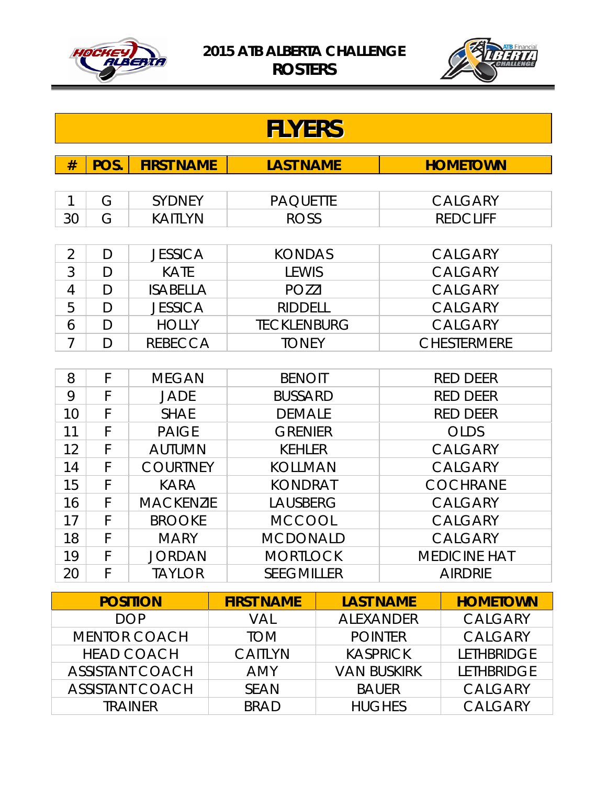



|                     | <b>FLYERS</b> |                        |                    |                    |                 |                     |
|---------------------|---------------|------------------------|--------------------|--------------------|-----------------|---------------------|
| #                   | POS.          | <b>FIRST NAME</b>      | <b>LAST NAME</b>   |                    |                 | <b>HOMETOWN</b>     |
|                     |               |                        |                    |                    |                 |                     |
| 1                   | G             | <b>SYDNEY</b>          | <b>PAQUETTE</b>    |                    |                 | <b>CALGARY</b>      |
| 30                  | G             | <b>KAITLYN</b>         | <b>ROSS</b>        |                    |                 | <b>REDCLIFF</b>     |
|                     |               |                        |                    |                    |                 |                     |
| $\overline{2}$      | D             | <b>JESSICA</b>         | <b>KONDAS</b>      |                    |                 | <b>CALGARY</b>      |
| 3                   | D             | <b>KATE</b>            | <b>LEWIS</b>       |                    |                 | <b>CALGARY</b>      |
| 4                   | D             | <b>ISABELLA</b>        | <b>POZZI</b>       |                    |                 | <b>CALGARY</b>      |
| 5                   | D             | <b>JESSICA</b>         | <b>RIDDELL</b>     |                    |                 | <b>CALGARY</b>      |
| 6                   | D             | <b>HOLLY</b>           | <b>TECKLENBURG</b> |                    |                 | <b>CALGARY</b>      |
| $\overline{7}$      | D             | <b>REBECCA</b>         | <b>TONEY</b>       |                    |                 | <b>CHESTERMERE</b>  |
|                     |               |                        |                    |                    |                 |                     |
| 8                   | F             | <b>MEGAN</b>           | <b>BENOIT</b>      |                    |                 | <b>RED DEER</b>     |
| 9                   | F             | <b>JADE</b>            | <b>BUSSARD</b>     |                    | <b>RED DEER</b> |                     |
| 10                  | F             | <b>SHAE</b>            | <b>DEMALE</b>      |                    |                 | <b>RED DEER</b>     |
| 11                  | F             | <b>PAIGE</b>           | <b>GRENIER</b>     |                    |                 | <b>OLDS</b>         |
| 12                  | F             | <b>AUTUMN</b>          | <b>KEHLER</b>      |                    |                 | <b>CALGARY</b>      |
| 14                  | F             | <b>COURTNEY</b>        | <b>KOLLMAN</b>     |                    |                 | <b>CALGARY</b>      |
| 15                  | F             | KARA                   | <b>KONDRAT</b>     |                    |                 | <b>COCHRANE</b>     |
| 16                  | F             | <b>MACKENZIE</b>       | <b>LAUSBERG</b>    |                    |                 | <b>CALGARY</b>      |
| 17                  | F             | <b>BROOKE</b>          | <b>MCCOOL</b>      |                    |                 | <b>CALGARY</b>      |
| 18                  | F             | <b>MARY</b>            | <b>MCDONALD</b>    |                    |                 | <b>CALGARY</b>      |
| 19                  | F             | JORDAN                 | <b>MORTLOCK</b>    |                    |                 | <b>MEDICINE HAT</b> |
| 20                  | F             | <b>TAYLOR</b>          | <b>SEEGMILLER</b>  |                    |                 | <b>AIRDRIE</b>      |
| <b>POSITION</b>     |               | <b>FIRST NAME</b>      | <b>LAST NAME</b>   |                    | <b>HOMETOWN</b> |                     |
| <b>DOP</b>          |               | <b>VAL</b>             | <b>ALEXANDER</b>   |                    | <b>CALGARY</b>  |                     |
| <b>MENTOR COACH</b> |               | <b>TOM</b>             |                    | <b>POINTER</b>     | <b>CALGARY</b>  |                     |
|                     |               | <b>HEAD COACH</b>      | <b>CAITLYN</b>     |                    | <b>KASPRICK</b> | <b>LETHBRIDGE</b>   |
|                     |               | <b>ASSISTANT COACH</b> | <b>AMY</b>         | <b>VAN BUSKIRK</b> |                 | <b>LETHBRIDGE</b>   |
|                     |               | <b>ASSISTANT COACH</b> | <b>SEAN</b>        | <b>BAUER</b>       |                 | <b>CALGARY</b>      |
| <b>TRAINER</b>      |               | <b>BRAD</b>            | <b>HUGHES</b>      |                    | <b>CALGARY</b>  |                     |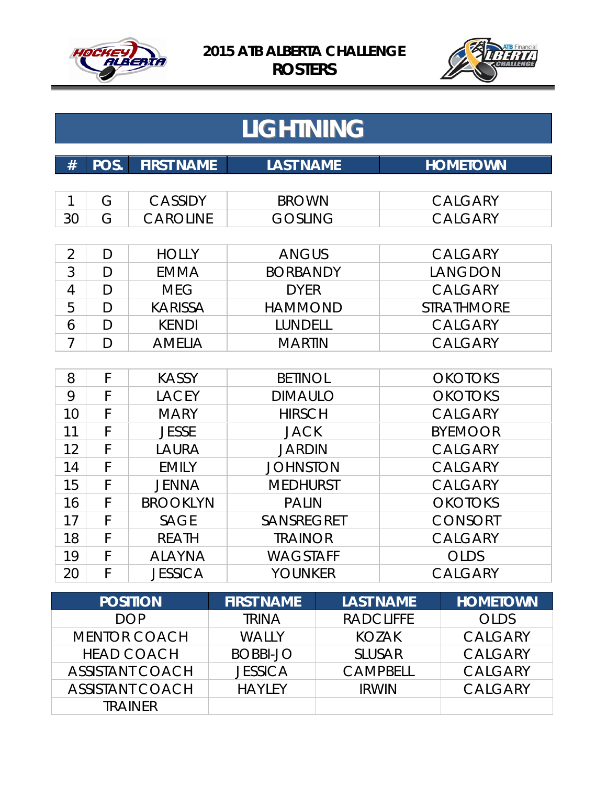



|                | <b>LIGHTNING</b> |                   |                                       |                   |
|----------------|------------------|-------------------|---------------------------------------|-------------------|
| #              | POS.             | <b>FIRST NAME</b> | <b>LAST NAME</b>                      | <b>HOMETOWN</b>   |
| 1              | G                | <b>CASSIDY</b>    | <b>BROWN</b>                          | <b>CALGARY</b>    |
| 30             | G                | <b>CAROLINE</b>   | <b>GOSLING</b>                        | <b>CALGARY</b>    |
| $\overline{2}$ | D                | <b>HOLLY</b>      | <b>ANGUS</b>                          | <b>CALGARY</b>    |
| 3              | D                | <b>EMMA</b>       | <b>BORBANDY</b>                       | LANGDON           |
| $\overline{4}$ | $\mathsf{D}$     | <b>MEG</b>        | <b>DYER</b>                           | <b>CALGARY</b>    |
| 5              | D                | <b>KARISSA</b>    | <b>HAMMOND</b>                        | <b>STRATHMORE</b> |
| 6              | D                | <b>KENDI</b>      | LUNDELL                               | <b>CALGARY</b>    |
| $\overline{7}$ | $\overline{D}$   | <b>AMELIA</b>     | <b>MARTIN</b>                         | <b>CALGARY</b>    |
|                |                  |                   |                                       |                   |
| 8              | F                | <b>KASSY</b>      | <b>BETINOL</b>                        | <b>OKOTOKS</b>    |
| 9              | F                | <b>LACEY</b>      | <b>DIMAULO</b>                        | <b>OKOTOKS</b>    |
| 10             | F                | <b>MARY</b>       | <b>HIRSCH</b>                         | <b>CALGARY</b>    |
| 11             | F                | <b>JESSE</b>      | <b>JACK</b>                           | <b>BYEMOOR</b>    |
| 12             | F                | LAURA             | <b>JARDIN</b>                         | <b>CALGARY</b>    |
| 14             | F                | <b>EMILY</b>      | <b>JOHNSTON</b>                       | <b>CALGARY</b>    |
| 15             | F                | <b>JENNA</b>      | <b>MEDHURST</b>                       | <b>CALGARY</b>    |
| 16             | F                | <b>BROOKLYN</b>   | <b>PALIN</b>                          | <b>OKOTOKS</b>    |
| 17             | F                | <b>SAGE</b>       | <b>SANSREGRET</b>                     | <b>CONSORT</b>    |
| 18             | F                | <b>REATH</b>      | <b>TRAINOR</b>                        | <b>CALGARY</b>    |
| 19             | F                | <b>ALAYNA</b>     | <b>WAGSTAFF</b>                       | <b>OLDS</b>       |
| 20             | F                | <b>JESSICA</b>    | <b>YOUNKER</b>                        | <b>CALGARY</b>    |
|                |                  | <b>POSITION</b>   | <b>LAST NAME</b><br><b>FIRST NAMF</b> | <b>HOMFTOWN</b>   |

| <b>POSITION</b>        | <b>FIRST NAME</b> | <b>LAST NAME</b> | <b>HOMETOWN</b> |
|------------------------|-------------------|------------------|-----------------|
| <b>DOP</b>             | <b>TRINA</b>      | <b>RADCLIFFE</b> | <b>OLDS</b>     |
| <b>MENTOR COACH</b>    | <b>WALLY</b>      | KOZAK            | <b>CALGARY</b>  |
| <b>HEAD COACH</b>      | <b>BOBBI-JO</b>   | <b>SLUSAR</b>    | <b>CALGARY</b>  |
| <b>ASSISTANT COACH</b> | <b>JESSICA</b>    | <b>CAMPBELL</b>  | <b>CALGARY</b>  |
| <b>ASSISTANT COACH</b> | <b>HAYLEY</b>     | <b>IRWIN</b>     | <b>CALGARY</b>  |
| <b>TRAINFR</b>         |                   |                  |                 |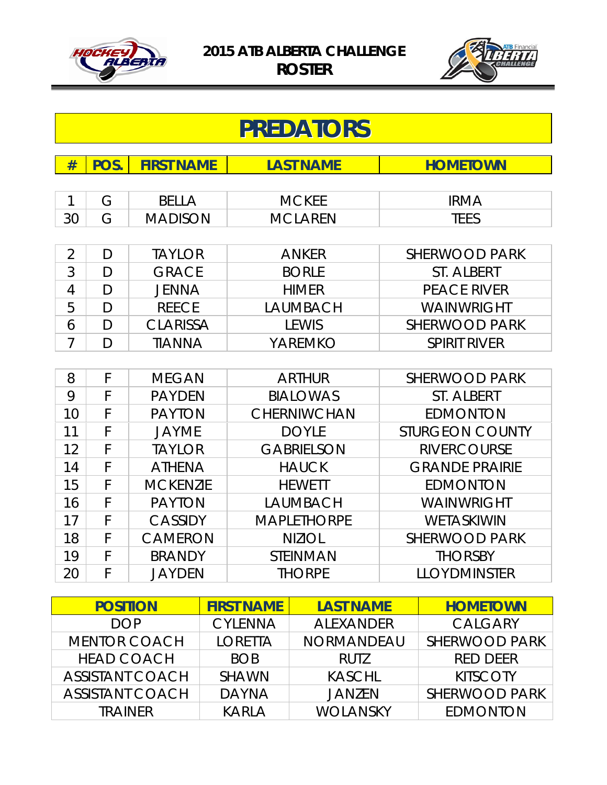



|                | <b>PREDATORS</b> |                   |                    |                        |  |
|----------------|------------------|-------------------|--------------------|------------------------|--|
| #              | POS.             | <b>FIRST NAME</b> | <b>LAST NAME</b>   | <b>HOMETOWN</b>        |  |
|                |                  |                   |                    |                        |  |
| 1              | G                | <b>BELLA</b>      | <b>MCKEE</b>       | <b>IRMA</b>            |  |
| 30             | G                | <b>MADISON</b>    | <b>MCLAREN</b>     | <b>TEES</b>            |  |
|                |                  |                   |                    |                        |  |
| $\overline{2}$ | D                | <b>TAYLOR</b>     | <b>ANKER</b>       | <b>SHERWOOD PARK</b>   |  |
| 3              | $\mathsf{D}$     | <b>GRACE</b>      | <b>BORLE</b>       | <b>ST. ALBERT</b>      |  |
| 4              | D                | <b>JENNA</b>      | <b>HIMER</b>       | <b>PEACE RIVER</b>     |  |
| 5              | D                | <b>REECE</b>      | <b>LAUMBACH</b>    | WAINWRIGHT             |  |
| 6              | D                | <b>CLARISSA</b>   | <b>LEWIS</b>       | <b>SHERWOOD PARK</b>   |  |
| $\overline{7}$ | D                | <b>TIANNA</b>     | YAREMKO            | <b>SPIRIT RIVER</b>    |  |
|                |                  |                   |                    |                        |  |
| 8              | F                | <b>MEGAN</b>      | <b>ARTHUR</b>      | <b>SHERWOOD PARK</b>   |  |
| 9              | F                | <b>PAYDEN</b>     | <b>BIALOWAS</b>    | <b>ST. ALBERT</b>      |  |
| 10             | F                | <b>PAYTON</b>     | <b>CHERNIWCHAN</b> | <b>EDMONTON</b>        |  |
| 11             | F                | <b>JAYME</b>      | <b>DOYLE</b>       | <b>STURGEON COUNTY</b> |  |
| 12             | F                | <b>TAYLOR</b>     | <b>GABRIELSON</b>  | <b>RIVERCOURSE</b>     |  |
| 14             | F                | <b>ATHENA</b>     | <b>HAUCK</b>       | <b>GRANDE PRAIRIE</b>  |  |
| 15             | F                | <b>MCKENZIE</b>   | <b>HEWETT</b>      | <b>EDMONTON</b>        |  |
| 16             | F                | <b>PAYTON</b>     | <b>LAUMBACH</b>    | WAINWRIGHT             |  |
| 17             | F                | <b>CASSIDY</b>    | <b>MAPLETHORPE</b> | WETASKIWIN             |  |
| 18             | F                | <b>CAMERON</b>    | <b>NIZIOL</b>      | <b>SHERWOOD PARK</b>   |  |
| 19             | F                | <b>BRANDY</b>     | <b>STEINMAN</b>    | <b>THORSBY</b>         |  |
| 20             | F                | <b>JAYDEN</b>     | <b>THORPE</b>      | <b>LLOYDMINSTER</b>    |  |

| <b>POSITION</b>        | <b>FIRST NAME</b> | <b>LAST NAME</b>  | <b>HOMETOWN</b> |
|------------------------|-------------------|-------------------|-----------------|
| <b>DOP</b>             | <b>CYLENNA</b>    | <b>ALEXANDER</b>  | <b>CALGARY</b>  |
| <b>MENTOR COACH</b>    | <b>LORETTA</b>    | <b>NORMANDEAU</b> | SHERWOOD PARK   |
| <b>HEAD COACH</b>      | <b>BOB</b>        | RUT7              | <b>RED DEER</b> |
| <b>ASSISTANT COACH</b> | <b>SHAWN</b>      | <b>KASCHL</b>     | <b>KITSCOTY</b> |
| <b>ASSISTANT COACH</b> | <b>DAYNA</b>      | <b>JANZEN</b>     | SHERWOOD PARK   |
| <b>TRAINER</b>         | <b>KARLA</b>      | <b>WOLANSKY</b>   | <b>EDMONTON</b> |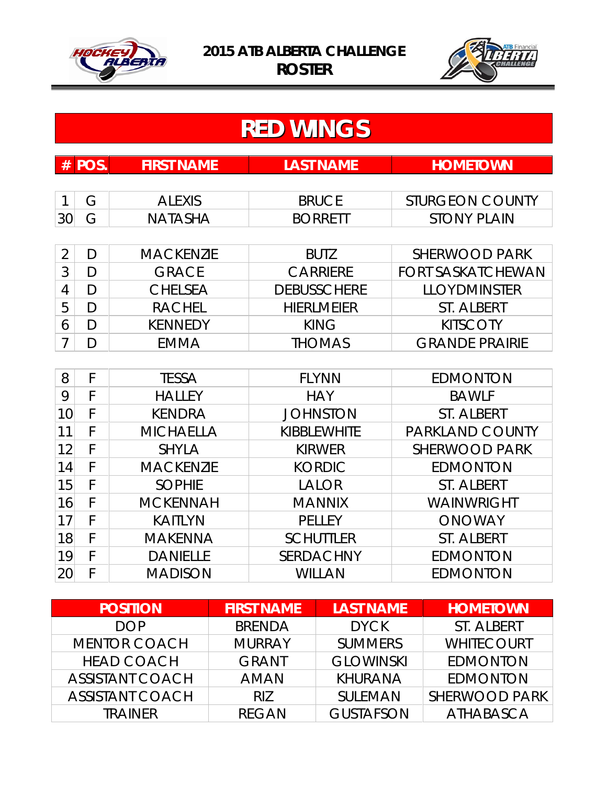



|                | <b>RED WINGS</b>                                                 |                  |                    |                          |  |  |  |  |
|----------------|------------------------------------------------------------------|------------------|--------------------|--------------------------|--|--|--|--|
| #              | POS.<br><b>FIRST NAME</b><br><b>LAST NAME</b><br><b>HOMETOWN</b> |                  |                    |                          |  |  |  |  |
|                |                                                                  |                  |                    |                          |  |  |  |  |
|                | G                                                                | <b>ALEXIS</b>    | <b>BRUCE</b>       | <b>STURGEON COUNTY</b>   |  |  |  |  |
| 30             | G                                                                | <b>NATASHA</b>   | <b>BORRETT</b>     | <b>STONY PLAIN</b>       |  |  |  |  |
|                |                                                                  |                  |                    |                          |  |  |  |  |
| $\overline{2}$ | D                                                                | <b>MACKENZIE</b> | <b>BUTZ</b>        | <b>SHERWOOD PARK</b>     |  |  |  |  |
| 3              | D                                                                | <b>GRACE</b>     | <b>CARRIERE</b>    | <b>FORT SASKATCHEWAN</b> |  |  |  |  |
| 4              | D                                                                | <b>CHELSEA</b>   | <b>DEBUSSCHERE</b> | <b>LLOYDMINSTER</b>      |  |  |  |  |
| 5              | D                                                                | <b>RACHEL</b>    | <b>HIERLMEIER</b>  | <b>ST. ALBERT</b>        |  |  |  |  |
| 6              | D                                                                | <b>KENNEDY</b>   | <b>KING</b>        | <b>KITSCOTY</b>          |  |  |  |  |
| 7              | D                                                                | <b>EMMA</b>      | <b>THOMAS</b>      | <b>GRANDE PRAIRIE</b>    |  |  |  |  |
|                |                                                                  |                  |                    |                          |  |  |  |  |
| 8              | F                                                                | <b>TESSA</b>     | <b>FLYNN</b>       | <b>EDMONTON</b>          |  |  |  |  |
| 9              | F                                                                | <b>HALLEY</b>    | <b>HAY</b>         | <b>BAWLF</b>             |  |  |  |  |
| 10             | F                                                                | <b>KENDRA</b>    | <b>JOHNSTON</b>    | <b>ST. ALBERT</b>        |  |  |  |  |
|                |                                                                  |                  |                    |                          |  |  |  |  |

| 10        |   | KENDRA           | <b>JOHNSTON</b>    | ST. ALBERT             |
|-----------|---|------------------|--------------------|------------------------|
| 11        |   | <b>MICHAELLA</b> | <b>KIBBLEWHITE</b> | <b>PARKLAND COUNTY</b> |
| 12        | F | <b>SHYLA</b>     | <b>KIRWER</b>      | SHERWOOD PARK          |
| 14        | F | <b>MACKENZIE</b> | <b>KORDIC</b>      | <b>EDMONTON</b>        |
| 15        | F | <b>SOPHIE</b>    | <b>LALOR</b>       | ST. ALBERT             |
| 16        | F | <b>MCKENNAH</b>  | <b>MANNIX</b>      | <b>WAINWRIGHT</b>      |
| 17        |   | <b>KAITLYN</b>   | <b>PELLEY</b>      | <b>ONOWAY</b>          |
| 18        | F | <b>MAKENNA</b>   | <b>SCHUTTLER</b>   | ST. ALBERT             |
| 19        | F | <b>DANIELLE</b>  | <b>SERDACHNY</b>   | <b>EDMONTON</b>        |
| <b>20</b> |   | <b>MADISON</b>   | <b>WILLAN</b>      | <b>EDMONTON</b>        |

| <b>POSITION</b>        | <b>FIRST NAME</b> | <b>LAST NAME</b> | <b>HOMETOWN</b>   |
|------------------------|-------------------|------------------|-------------------|
| <b>DOP</b>             | <b>BRENDA</b>     | <b>DYCK</b>      | ST. ALBERT        |
| <b>MENTOR COACH</b>    | <b>MURRAY</b>     | <b>SUMMERS</b>   | <b>WHITECOURT</b> |
| <b>HEAD COACH</b>      | <b>GRANT</b>      | <b>GLOWINSKI</b> | <b>EDMONTON</b>   |
| <b>ASSISTANT COACH</b> | <b>AMAN</b>       | <b>KHURANA</b>   | <b>EDMONTON</b>   |
| <b>ASSISTANT COACH</b> | RIZ               | <b>SULEMAN</b>   | SHERWOOD PARK     |
| <b>TRAINER</b>         | <b>RFGAN</b>      | <b>GUSTAFSON</b> | ATHABASCA         |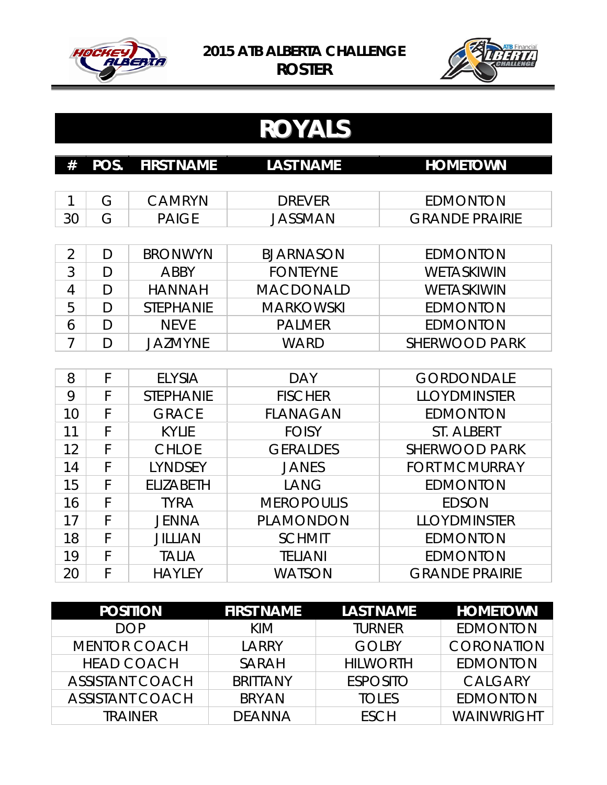



## **ROYALS**

| #  | <b>POS. FIRST NAME</b> | <b>LAST NAME</b> | <b>HOMETOWN</b>       |
|----|------------------------|------------------|-----------------------|
|    |                        |                  |                       |
|    | CAMRYN                 | <b>DREVER</b>    | EDMONTON              |
| 30 | <b>PAIGE</b>           | JASSMAN          | <b>GRANDE PRAIRIE</b> |

|   |        | <b>BRONWYN</b>   | <b>BJARNASON</b> | EDMONTON          |
|---|--------|------------------|------------------|-------------------|
| 3 | I)     | ABBY             | <b>FONTEYNE</b>  | <b>WETASKIWIN</b> |
| 4 | $\Box$ | <b>HANNAH</b>    | <b>MACDONALD</b> | <b>WETASKIWIN</b> |
| 5 |        | <b>STEPHANIE</b> | <b>MARKOWSKI</b> | <b>EDMONTON</b>   |
| 6 |        | <b>NFVF</b>      | <b>PALMER</b>    | <b>EDMONTON</b>   |
|   |        | <b>JAZMYNE</b>   | WARD             | SHERWOOD PARK     |

| 8  |   | <b>ELYSIA</b>    | <b>DAY</b>        | <b>GORDONDALE</b>     |
|----|---|------------------|-------------------|-----------------------|
| 9  |   | <b>STEPHANIE</b> | <b>FISCHER</b>    | <b>LLOYDMINSTER</b>   |
| 10 | F | <b>GRACE</b>     | <b>FLANAGAN</b>   | <b>EDMONTON</b>       |
| 11 |   | <b>KYLIE</b>     | <b>FOISY</b>      | ST. ALBERT            |
| 12 | F | <b>CHLOE</b>     | <b>GERALDES</b>   | <b>SHERWOOD PARK</b>  |
| 14 |   | <b>LYNDSEY</b>   | <b>JANES</b>      | <b>FORT MCMURRAY</b>  |
| 15 |   | <b>ELIZABETH</b> | LANG              | <b>EDMONTON</b>       |
| 16 |   | <b>TYRA</b>      | <b>MEROPOULIS</b> | <b>EDSON</b>          |
| 17 |   | <b>JENNA</b>     | <b>PLAMONDON</b>  | <b>LLOYDMINSTER</b>   |
| 18 |   | <b>JILLIAN</b>   | <b>SCHMIT</b>     | <b>EDMONTON</b>       |
| 19 |   | <b>TALIA</b>     | <b>TELIANI</b>    | <b>EDMONTON</b>       |
| 20 |   | <b>HAYLEY</b>    | <b>WATSON</b>     | <b>GRANDE PRAIRIE</b> |

| <b>POSITION</b>        | <b>FIRST NAME</b> | <b>LAST NAME</b> | <b>HOMETOWN</b>   |
|------------------------|-------------------|------------------|-------------------|
| <b>DOP</b>             | KIM               | <b>TURNER</b>    | <b>EDMONTON</b>   |
| <b>MENTOR COACH</b>    | LARRY             | <b>GOLBY</b>     | <b>CORONATION</b> |
| <b>HEAD COACH</b>      | <b>SARAH</b>      | <b>HILWORTH</b>  | <b>EDMONTON</b>   |
| <b>ASSISTANT COACH</b> | <b>BRITTANY</b>   | <b>ESPOSITO</b>  | <b>CALGARY</b>    |
| <b>ASSISTANT COACH</b> | <b>BRYAN</b>      | <b>TOLES</b>     | <b>EDMONTON</b>   |
| <b>TRAINFR</b>         | <b>DEANNA</b>     | <b>FSCH</b>      | WAINWRIGHT        |